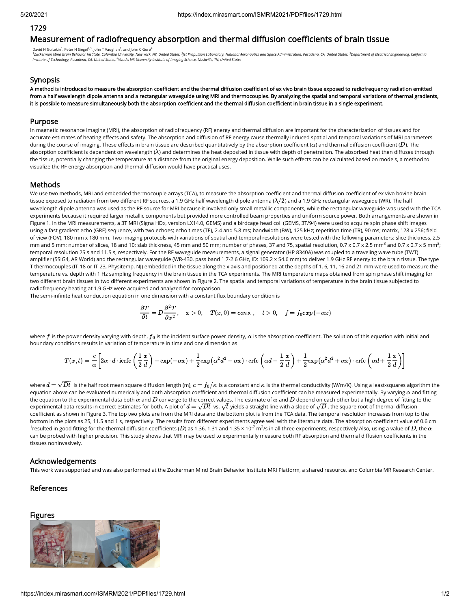# 1729

# Measurement of radiofrequency absorption and thermal diffusion coefficients of brain tissue

David H Gultekin<sup>1</sup>, Peter H Siegel<sup>2,3</sup>, John T Vaughan<sup>1</sup>, and John C Gore<sup>4</sup>

<sup>1</sup>Zuckerman Mind Brain Behavior Institute, Columbia University, New York, NY, United States, <sup>2</sup>Jet Propulsion Laboratory, National Aeronautics and Space Administration, Pasadena, CA, United States, <sup>3</sup>Department of Elect *Institute of Technology, Pasadena, CA, United States, Vanderbilt University Institute of Imaging Science, Nashville, TN, United States 4*

### Synopsis

A method is introduced to measure the absorption coefficient and the thermal diffusion coefficient of ex vivo brain tissue exposed to radiofrequency radiation emitted from a half wavelength dipole antenna and a rectangular waveguide using MRI and thermocouples. By analyzing the spatial and temporal variations of thermal gradients, it is possible to measure simultaneously both the absorption coefficient and the thermal diffusion coefficient in brain tissue in a single experiment.

### Purpose

In magnetic resonance imaging (MRI), the absorption of radiofrequency (RF) energy and thermal diffusion are important for the characterization of tissues and for accurate estimates of heating effects and safety. The absorption and diffusion of RF energy cause thermally induced spatial and temporal variations of MRI parameters during the course of imaging. These effects in brain tissue are described quantitatively by the absorption coefficient ( $\alpha$ ) and thermal diffusion coefficient ( $D$ ). The absorption coefficient is dependent on wavelength ( $\lambda$ ) and determines the heat deposited in tissue with depth of penetration. The absorbed heat then diffuses through the tissue, potentially changing the temperature at a distance from the original energy deposition. While such effects can be calculated based on models, a method to visualize the RF energy absorption and thermal diffusion would have practical uses.

### **Methods**

We use two methods, MRI and embedded thermocouple arrays (TCA), to measure the absorption coefficient and thermal diffusion coefficient of ex vivo bovine brain tissue exposed to radiation from two different RF sources, a 1.9 GHz half wavelength dipole antenna ( $\lambda/2$ ) and a 1.9 GHz rectangular waveguide (WR). The half wavelength dipole antenna was used as the RF source for MRI because it involved only small metallic components, while the rectangular waveguide was used with the TCA experiments because it required larger metallic components but provided more controlled beam properties and uniform source power. Both arrangements are shown in Figure 1. In the MRI measurements, a 3T MRI (Signa HDx, version LX14.0, GEMS) and a birdcage head coil (GEMS, 3T/94) were used to acquire spin phase shift images using a fast gradient echo (GRE) sequence, with two echoes; echo times (TE), 2.4 and 5.8 ms; bandwidth (BW), 125 kHz; repetition time (TR), 90 ms; matrix, 128 x 256; field of view (FOV), 180 mm x 180 mm. Two imaging protocols with variations of spatial and temporal resolutions were tested with the following parameters: slice thickness, 2.5 mm and 5 mm; number of slices, 18 and 10; slab thickness, 45 mm and 50 mm; number of phases, 37 and 75, spatial resolution, 0.7 x 0.7 x 2.5 mm $^3$  and 0.7 x 0.7 x 5 mm $^3\!$ temporal resolution 25 s and 11.5 s, respectively. For the RF waveguide measurements, a signal generator (HP 8340A) was coupled to a traveling wave tube (TWT) amplifier (5SIG4, AR World) and the rectangular waveguide (WR-430, pass band 1.7-2.6 GHz, ID: 109.2 x 54.6 mm) to deliver 1.9 GHz RF energy to the brain tissue. The type T thermocouples (IT-18 or IT-23, Physitemp, NJ) embedded in the tissue along the x axis and positioned at the depths of 1, 6, 11, 16 and 21 mm were used to measure the temperature vs. depth with 1 Hz sampling frequency in the brain tissue in the TCA experiments. The MRI temperature maps obtained from spin phase shift imaging for two different brain tissues in two different experiments are shown in Figure 2. The spatial and temporal variations of temperature in the brain tissue subjected to radiofrequency heating at 1.9 GHz were acquired and analyzed for comparison.

The semi-infinite heat conduction equation in one dimension with a constant flux boundary condition is

$$
\frac{\partial T}{\partial t}=D\frac{\partial^2 T}{\partial x^2},\quad x>0,\quad T(x,0)=cons.,\quad t>0,\quad f=f_0 exp\left(-\alpha x\right)
$$

where  $f$  is the power density varying with depth,  $f_0$  is the incident surface power density,  $\alpha$  is the absorption coefficient. The solution of this equation with initial and boundary conditions results in variation of temperature in time and one dimension as

$$
T(x,t)=\frac{c}{\alpha}\bigg[2\alpha\cdot d\cdot \mathrm{ierfc}\left(\frac{1}{2}\frac{x}{d}\right)-\exp(-\alpha x)+\frac{1}{2}\mathrm{exp}\big(\alpha^2d^2-\alpha x\big)\cdot \mathrm{erfc}\left(\alpha d-\frac{1}{2}\frac{x}{d}\right)+\frac{1}{2}\mathrm{exp}\big(\alpha^2d^2+\alpha x\big)\cdot \mathrm{erfc}\left(\alpha d+\frac{1}{2}\frac{x}{d}\right)\bigg]
$$

where  $d=\sqrt{Dt}$  is the half root mean square diffusion length (m),  $c=f_0/\kappa$  is a constant and  $\kappa$  is the thermal conductivity (W/m/K). Using a least-squares algorithm the equation above can be evaluated numerically and both absorption coefficient and thermal diffusion coefficient can be measured experimentally. By varying  $\alpha$  and fitting the equation to the experimental data both  $\alpha$  and  $D$  converge to the correct values. The estimate of  $\alpha$  and  $D$  depend on each other but a high degree of fitting to the the equation to the experimental data both  $\alpha$  and  $D$  converge to the correct values. The estimate of  $\alpha$  and  $D$  depend on each other but a high degree of fitting t<br>experimental data results in correct estimates for b coefficient as shown in Figure 3. The top two plots are from the MRI data and the bottom plot is from the TCA data. The temporal resolution increases from top to the bottom in the plots as 25, 11.5 and 1 s, respectively. The results from different experiments agree well with the literature data. The absorption coefficient value of 0.6 cm<sup>-</sup>  $^1$ resulted in good fitting for the thermal diffusion coefficients ( $D$ ) as 1.36, 1.31 and 1.35 × 10<sup>-7</sup> m<sup>2</sup>/s in all three experiments, respectively Also, using a value of  $D$ , the  $\alpha$ can be probed with higher precision. This study shows that MRI may be used to experimentally measure both RF absorption and thermal diffusion coefficients in the tissues noninvasively.

### Acknowledgements

This work was supported and was also performed at the Zuckerman Mind Brain Behavior Institute MRI Platform, a shared resource, and Columbia MR Research Center.

# References

# Figures